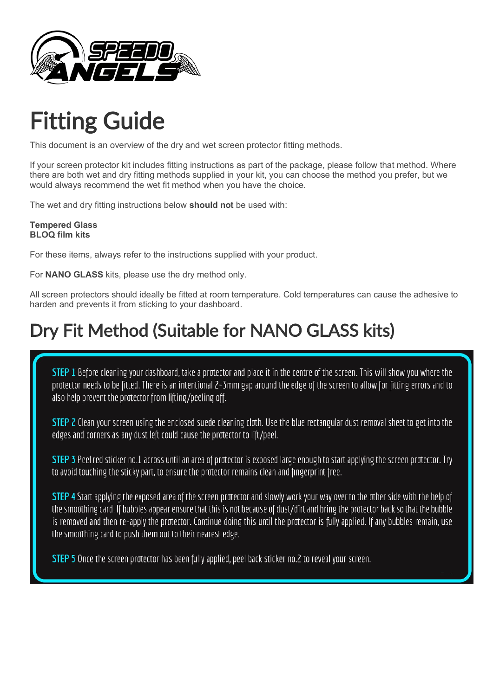

## Fitting Guide

This document is an overview of the dry and wet screen protector fitting methods.

If your screen protector kit includes fitting instructions as part of the package, please follow that method. Where there are both wet and dry fitting methods supplied in your kit, you can choose the method you prefer, but we would always recommend the wet fit method when you have the choice.

The wet and dry fitting instructions below **should not** be used with:

## **Tempered Glass BLOQ film kits**

For these items, always refer to the instructions supplied with your product.

For **NANO GLASS** kits, please use the dry method only.

All screen protectors should ideally be fitted at room temperature. Cold temperatures can cause the adhesive to harden and prevents it from sticking to your dashboard.

## Dry Fit Method (Suitable for NANO GLASS kits)

STEP 1 Before cleaning your dashboard, take a protector and place it in the centre of the screen. This will show you where the protector needs to be fitted. There is an intentional 2-3mm gap around the edge of the screen to allow for fitting errors and to also help prevent the protector from lifting/peeling off.

STEP 2 Clean your screen using the enclosed suede cleaning cloth. Use the blue rectangular dust removal sheet to get into the edges and corners as any dust left could cause the protector to lift/peel.

STEP 3 Peel red sticker no.1 across until an area of protector is exposed large enough to start applying the screen protector. Try to avoid touching the sticky part, to ensure the protector remains clean and fingerprint free.

STEP 4 Start applying the exposed area of the screen protector and slowly work your way over to the other side with the help of the smoothing card. If bubbles appear ensure that this is not because of dust/dirt and bring the protector back so that the bubble is removed and then re-apply the protector. Continue doing this until the protector is fully applied. If any bubbles remain, use the smoothing card to push them out to their nearest edge.

STEP 5 Once the screen protector has been fully applied, peel back sticker no.2 to reveal your screen.